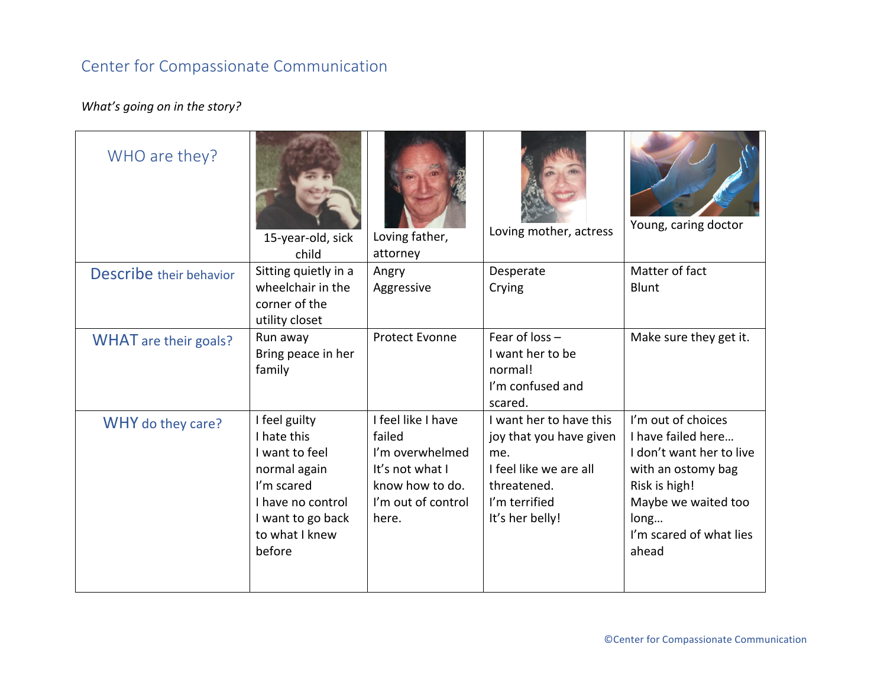## Center for Compassionate Communication

## *What's going on in the story?*

| WHO are they?                  | 15-year-old, sick<br>child                                                                                                                         | Loving father,<br>attorney                                                                                           | Loving mother, actress                                                                                                                 | Young, caring doctor                                                                                                                                                           |
|--------------------------------|----------------------------------------------------------------------------------------------------------------------------------------------------|----------------------------------------------------------------------------------------------------------------------|----------------------------------------------------------------------------------------------------------------------------------------|--------------------------------------------------------------------------------------------------------------------------------------------------------------------------------|
| <b>Describe</b> their behavior | Sitting quietly in a                                                                                                                               | Angry                                                                                                                | Desperate                                                                                                                              | Matter of fact                                                                                                                                                                 |
|                                | wheelchair in the<br>corner of the<br>utility closet                                                                                               | Aggressive                                                                                                           | Crying                                                                                                                                 | Blunt                                                                                                                                                                          |
| <b>WHAT</b> are their goals?   | Run away<br>Bring peace in her<br>family                                                                                                           | <b>Protect Evonne</b>                                                                                                | Fear of $loss -$<br>I want her to be<br>normal!<br>I'm confused and<br>scared.                                                         | Make sure they get it.                                                                                                                                                         |
| WHY do they care?              | I feel guilty<br>I hate this<br>I want to feel<br>normal again<br>I'm scared<br>I have no control<br>I want to go back<br>to what I knew<br>before | I feel like I have<br>failed<br>I'm overwhelmed<br>It's not what I<br>know how to do.<br>I'm out of control<br>here. | I want her to have this<br>joy that you have given<br>me.<br>I feel like we are all<br>threatened.<br>I'm terrified<br>It's her belly! | I'm out of choices<br>I have failed here<br>I don't want her to live<br>with an ostomy bag<br>Risk is high!<br>Maybe we waited too<br>long<br>I'm scared of what lies<br>ahead |